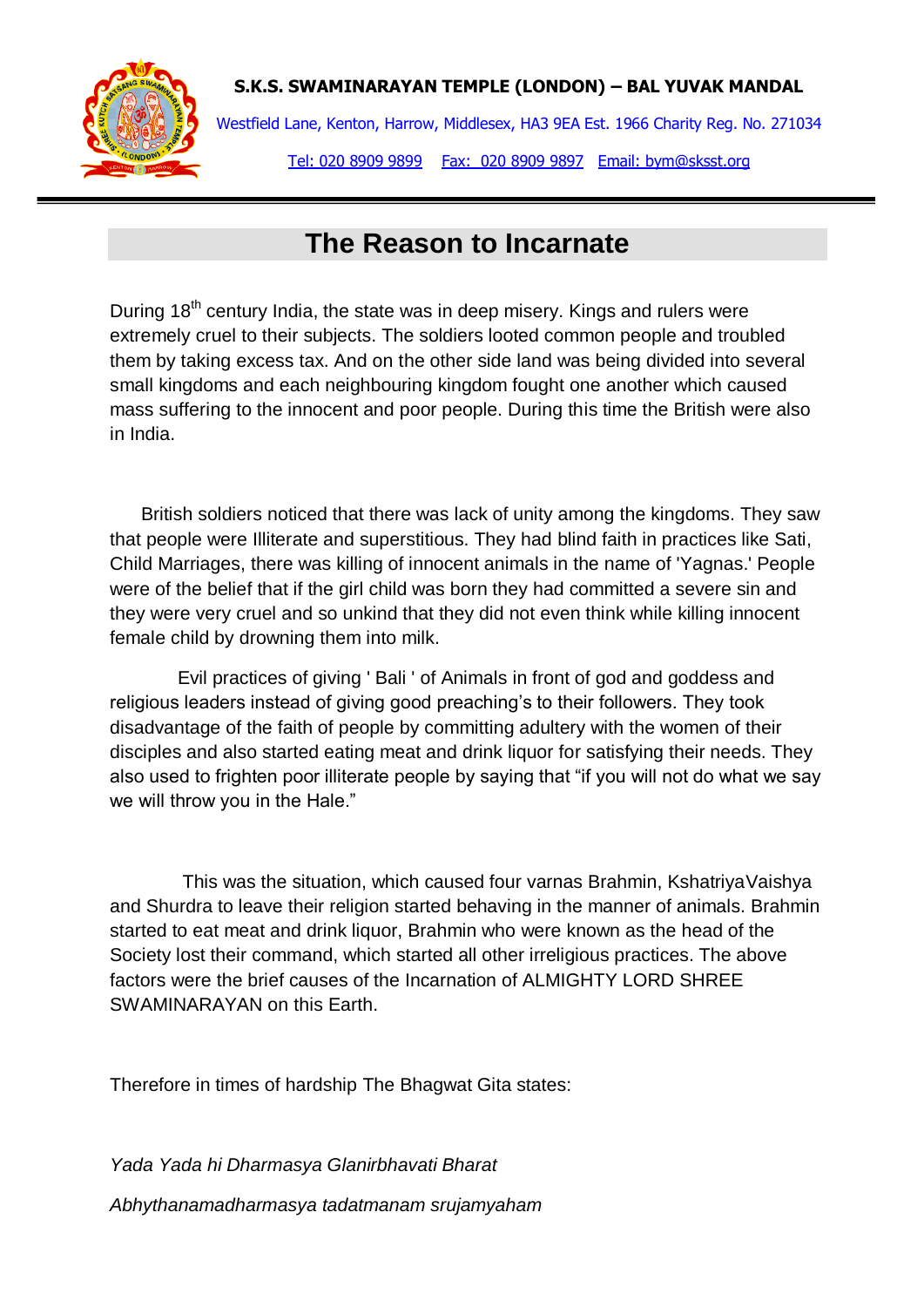

Westfield Lane, Kenton, Harrow, Middlesex, HA3 9EA Est. 1966 Charity Reg. No. 271034 Tel: 020 8909 9899 Fax: 020 8909 9897 Email: bym@sksst.org

# **The Reason to Incarnate**

During  $18<sup>th</sup>$  century India, the state was in deep misery. Kings and rulers were extremely cruel to their subjects. The soldiers looted common people and troubled them by taking excess tax. And on the other side land was being divided into several small kingdoms and each neighbouring kingdom fought one another which caused mass suffering to the innocent and poor people. During this time the British were also in India.

 British soldiers noticed that there was lack of unity among the kingdoms. They saw that people were Illiterate and superstitious. They had blind faith in practices like Sati, Child Marriages, there was killing of innocent animals in the name of 'Yagnas.' People were of the belief that if the girl child was born they had committed a severe sin and they were very cruel and so unkind that they did not even think while killing innocent female child by drowning them into milk.

 Evil practices of giving ' Bali ' of Animals in front of god and goddess and religious leaders instead of giving good preaching's to their followers. They took disadvantage of the faith of people by committing adultery with the women of their disciples and also started eating meat and drink liquor for satisfying their needs. They also used to frighten poor illiterate people by saying that "if you will not do what we say we will throw you in the Hale."

 This was the situation, which caused four varnas Brahmin, KshatriyaVaishya and Shurdra to leave their religion started behaving in the manner of animals. Brahmin started to eat meat and drink liquor, Brahmin who were known as the head of the Society lost their command, which started all other irreligious practices. The above factors were the brief causes of the Incarnation of ALMIGHTY LORD SHREE SWAMINARAYAN on this Earth.

Therefore in times of hardship The Bhagwat Gita states:

*Yada Yada hi Dharmasya Glanirbhavati Bharat*

*Abhythanamadharmasya tadatmanam srujamyaham*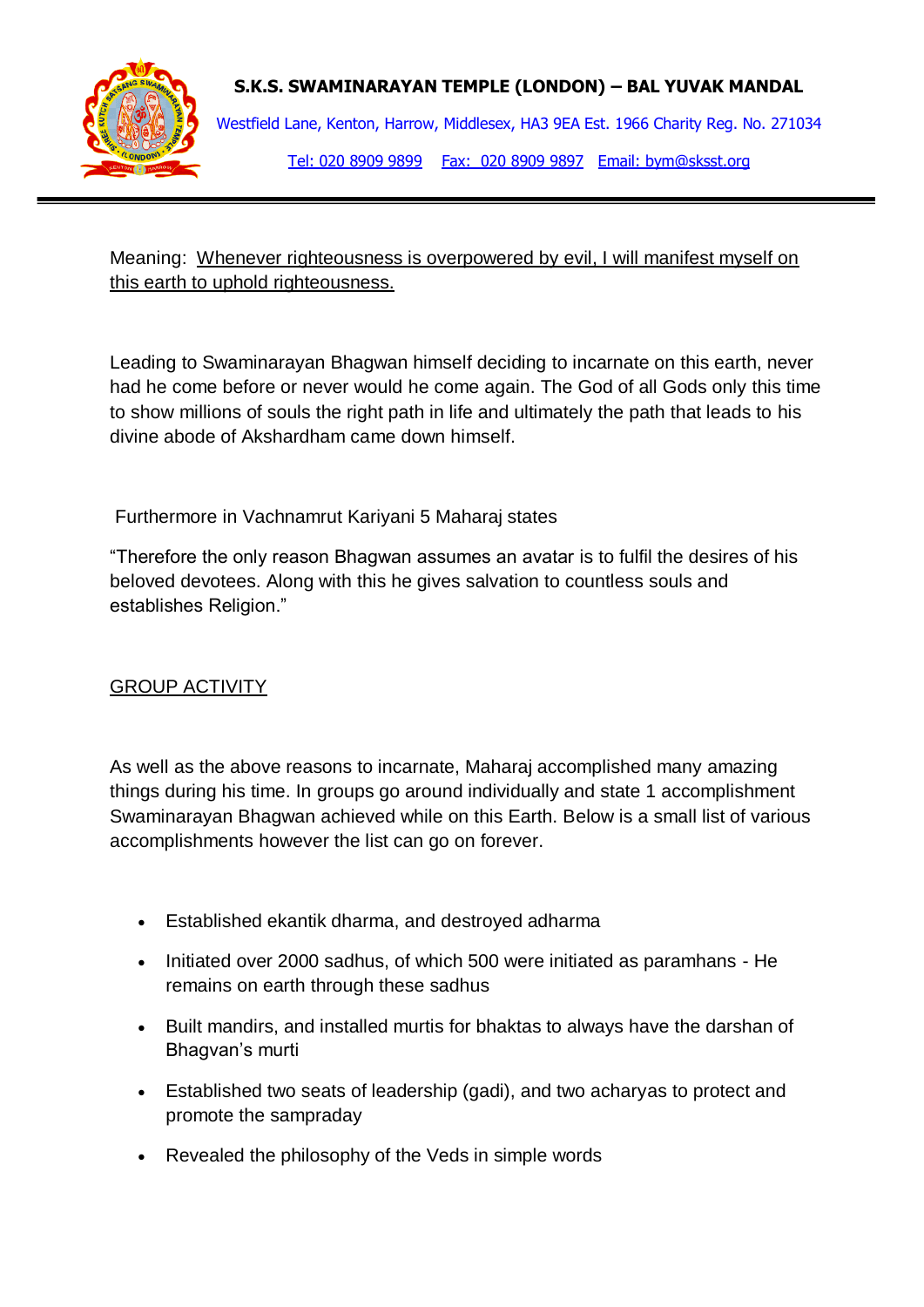

Westfield Lane, Kenton, Harrow, Middlesex, HA3 9EA Est. 1966 Charity Reg. No. 271034 Tel: 020 8909 9899 Fax: 020 8909 9897 Email: bym@sksst.org

Meaning: Whenever righteousness is overpowered by evil, I will manifest myself on this earth to uphold righteousness.

Leading to Swaminarayan Bhagwan himself deciding to incarnate on this earth, never had he come before or never would he come again. The God of all Gods only this time to show millions of souls the right path in life and ultimately the path that leads to his divine abode of Akshardham came down himself.

Furthermore in Vachnamrut Kariyani 5 Maharaj states

"Therefore the only reason Bhagwan assumes an avatar is to fulfil the desires of his beloved devotees. Along with this he gives salvation to countless souls and establishes Religion."

## GROUP ACTIVITY

As well as the above reasons to incarnate, Maharaj accomplished many amazing things during his time. In groups go around individually and state 1 accomplishment Swaminarayan Bhagwan achieved while on this Earth. Below is a small list of various accomplishments however the list can go on forever.

- Established ekantik dharma, and destroyed adharma
- Initiated over 2000 sadhus, of which 500 were initiated as paramhans He remains on earth through these sadhus
- Built mandirs, and installed murtis for bhaktas to always have the darshan of Bhagvan's murti
- Established two seats of leadership (gadi), and two acharyas to protect and promote the sampraday
- Revealed the philosophy of the Veds in simple words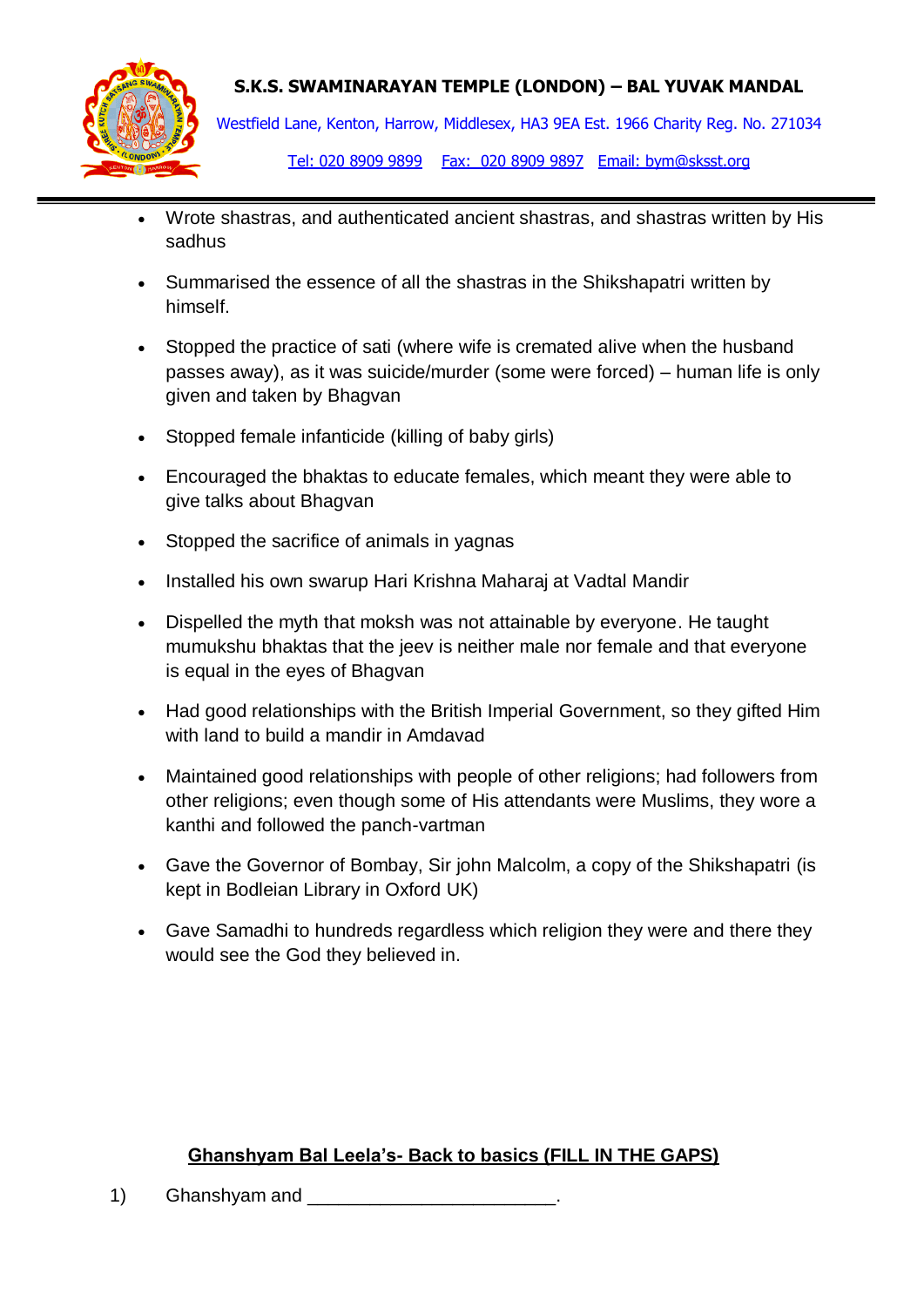

Westfield Lane, Kenton, Harrow, Middlesex, HA3 9EA Est. 1966 Charity Reg. No. 271034

Tel: 020 8909 9899 Fax: 020 8909 9897 Email: bym@sksst.org

- Wrote shastras, and authenticated ancient shastras, and shastras written by His sadhus
- Summarised the essence of all the shastras in the Shikshapatri written by himself.
- Stopped the practice of sati (where wife is cremated alive when the husband passes away), as it was suicide/murder (some were forced) – human life is only given and taken by Bhagvan
- Stopped female infanticide (killing of baby girls)
- Encouraged the bhaktas to educate females, which meant they were able to give talks about Bhagvan
- Stopped the sacrifice of animals in yagnas
- Installed his own swarup Hari Krishna Maharaj at Vadtal Mandir
- Dispelled the myth that moksh was not attainable by everyone. He taught mumukshu bhaktas that the jeev is neither male nor female and that everyone is equal in the eyes of Bhagvan
- Had good relationships with the British Imperial Government, so they gifted Him with land to build a mandir in Amdavad
- Maintained good relationships with people of other religions; had followers from other religions; even though some of His attendants were Muslims, they wore a kanthi and followed the panch-vartman
- Gave the Governor of Bombay, Sir john Malcolm, a copy of the Shikshapatri (is kept in Bodleian Library in Oxford UK)
- Gave Samadhi to hundreds regardless which religion they were and there they would see the God they believed in.

## **Ghanshyam Bal Leela's- Back to basics (FILL IN THE GAPS)**

1) Ghanshyam and \_\_\_\_\_\_\_\_\_\_\_\_\_\_\_\_\_\_\_\_\_\_\_\_.